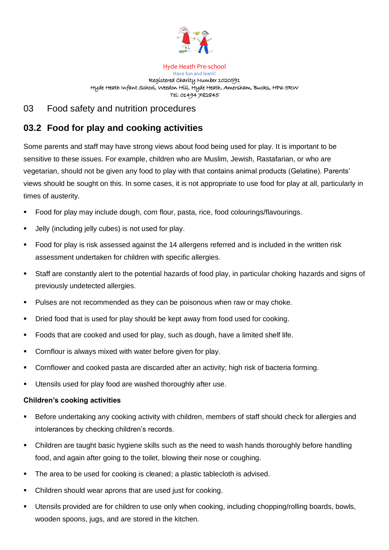

Hyde Heath Pre-school Have fun and learn! Registered Charity Number 1020591 Hyde Heath Infant School, Weedon Hill, Hyde Heath, Amersham, Bucks, HP6 5RW Tel: 01494 782845

## 03 Food safety and nutrition procedures

## **03.2 Food for play and cooking activities**

Some parents and staff may have strong views about food being used for play. It is important to be sensitive to these issues. For example, children who are Muslim, Jewish, Rastafarian, or who are vegetarian, should not be given any food to play with that contains animal products (Gelatine). Parents' views should be sought on this. In some cases, it is not appropriate to use food for play at all, particularly in times of austerity.

- Food for play may include dough, corn flour, pasta, rice, food colourings/flavourings.
- Jelly (including jelly cubes) is not used for play.
- Food for play is risk assessed against the 14 allergens referred and is included in the written risk assessment undertaken for children with specific allergies.
- Staff are constantly alert to the potential hazards of food play, in particular choking hazards and signs of previously undetected allergies.
- Pulses are not recommended as they can be poisonous when raw or may choke.
- Dried food that is used for play should be kept away from food used for cooking.
- Foods that are cooked and used for play, such as dough, have a limited shelf life.
- Cornflour is always mixed with water before given for play.
- Cornflower and cooked pasta are discarded after an activity; high risk of bacteria forming.
- Utensils used for play food are washed thoroughly after use.

## **Children's cooking activities**

- Before undertaking any cooking activity with children, members of staff should check for allergies and intolerances by checking children's records.
- **•** Children are taught basic hygiene skills such as the need to wash hands thoroughly before handling food, and again after going to the toilet, blowing their nose or coughing.
- The area to be used for cooking is cleaned; a plastic tablecloth is advised.
- Children should wear aprons that are used just for cooking.
- Utensils provided are for children to use only when cooking, including chopping/rolling boards, bowls, wooden spoons, jugs, and are stored in the kitchen.